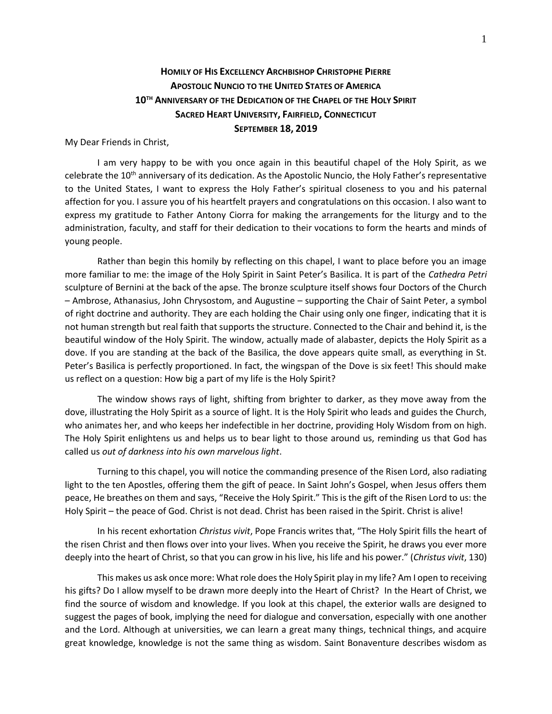## **HOMILY OF HIS EXCELLENCY ARCHBISHOP CHRISTOPHE PIERRE APOSTOLIC NUNCIO TO THE UNITED STATES OF AMERICA 10TH ANNIVERSARY OF THE DEDICATION OF THE CHAPEL OF THE HOLY SPIRIT SACRED HEART UNIVERSITY, FAIRFIELD, CONNECTICUT SEPTEMBER 18, 2019**

My Dear Friends in Christ,

I am very happy to be with you once again in this beautiful chapel of the Holy Spirit, as we celebrate the 10<sup>th</sup> anniversary of its dedication. As the Apostolic Nuncio, the Holy Father's representative to the United States, I want to express the Holy Father's spiritual closeness to you and his paternal affection for you. I assure you of his heartfelt prayers and congratulations on this occasion. I also want to express my gratitude to Father Antony Ciorra for making the arrangements for the liturgy and to the administration, faculty, and staff for their dedication to their vocations to form the hearts and minds of young people.

Rather than begin this homily by reflecting on this chapel, I want to place before you an image more familiar to me: the image of the Holy Spirit in Saint Peter's Basilica. It is part of the *Cathedra Petri* sculpture of Bernini at the back of the apse. The bronze sculpture itself shows four Doctors of the Church – Ambrose, Athanasius, John Chrysostom, and Augustine – supporting the Chair of Saint Peter, a symbol of right doctrine and authority. They are each holding the Chair using only one finger, indicating that it is not human strength but real faith that supports the structure. Connected to the Chair and behind it, is the beautiful window of the Holy Spirit. The window, actually made of alabaster, depicts the Holy Spirit as a dove. If you are standing at the back of the Basilica, the dove appears quite small, as everything in St. Peter's Basilica is perfectly proportioned. In fact, the wingspan of the Dove is six feet! This should make us reflect on a question: How big a part of my life is the Holy Spirit?

The window shows rays of light, shifting from brighter to darker, as they move away from the dove, illustrating the Holy Spirit as a source of light. It is the Holy Spirit who leads and guides the Church, who animates her, and who keeps her indefectible in her doctrine, providing Holy Wisdom from on high. The Holy Spirit enlightens us and helps us to bear light to those around us, reminding us that God has called us *out of darkness into his own marvelous light*.

Turning to this chapel, you will notice the commanding presence of the Risen Lord, also radiating light to the ten Apostles, offering them the gift of peace. In Saint John's Gospel, when Jesus offers them peace, He breathes on them and says, "Receive the Holy Spirit." This is the gift of the Risen Lord to us: the Holy Spirit – the peace of God. Christ is not dead. Christ has been raised in the Spirit. Christ is alive!

In his recent exhortation *Christus vivit*, Pope Francis writes that, "The Holy Spirit fills the heart of the risen Christ and then flows over into your lives. When you receive the Spirit, he draws you ever more deeply into the heart of Christ, so that you can grow in his live, his life and his power." (*Christus vivit*, 130)

This makes us ask once more: What role does the Holy Spirit play in my life? Am I open to receiving his gifts? Do I allow myself to be drawn more deeply into the Heart of Christ? In the Heart of Christ, we find the source of wisdom and knowledge. If you look at this chapel, the exterior walls are designed to suggest the pages of book, implying the need for dialogue and conversation, especially with one another and the Lord. Although at universities, we can learn a great many things, technical things, and acquire great knowledge, knowledge is not the same thing as wisdom. Saint Bonaventure describes wisdom as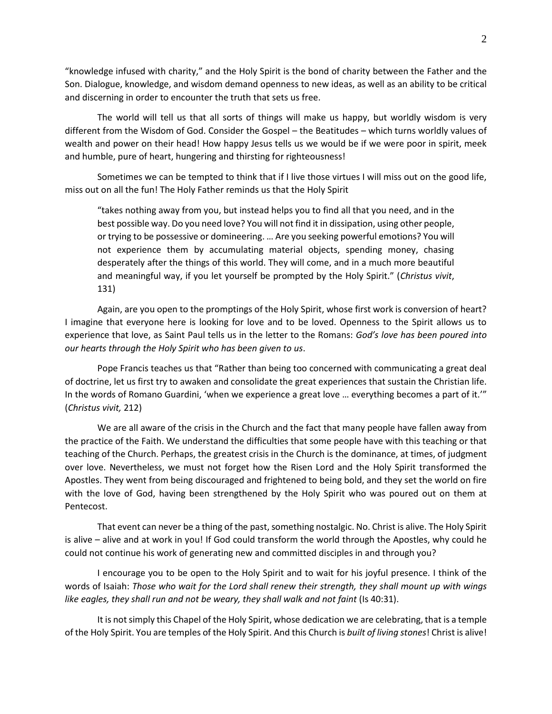"knowledge infused with charity," and the Holy Spirit is the bond of charity between the Father and the Son. Dialogue, knowledge, and wisdom demand openness to new ideas, as well as an ability to be critical and discerning in order to encounter the truth that sets us free.

The world will tell us that all sorts of things will make us happy, but worldly wisdom is very different from the Wisdom of God. Consider the Gospel – the Beatitudes – which turns worldly values of wealth and power on their head! How happy Jesus tells us we would be if we were poor in spirit, meek and humble, pure of heart, hungering and thirsting for righteousness!

Sometimes we can be tempted to think that if I live those virtues I will miss out on the good life, miss out on all the fun! The Holy Father reminds us that the Holy Spirit

"takes nothing away from you, but instead helps you to find all that you need, and in the best possible way. Do you need love? You will not find it in dissipation, using other people, or trying to be possessive or domineering. … Are you seeking powerful emotions? You will not experience them by accumulating material objects, spending money, chasing desperately after the things of this world. They will come, and in a much more beautiful and meaningful way, if you let yourself be prompted by the Holy Spirit." (*Christus vivit*, 131)

Again, are you open to the promptings of the Holy Spirit, whose first work is conversion of heart? I imagine that everyone here is looking for love and to be loved. Openness to the Spirit allows us to experience that love, as Saint Paul tells us in the letter to the Romans: *God's love has been poured into our hearts through the Holy Spirit who has been given to us*.

Pope Francis teaches us that "Rather than being too concerned with communicating a great deal of doctrine, let us first try to awaken and consolidate the great experiences that sustain the Christian life. In the words of Romano Guardini, 'when we experience a great love … everything becomes a part of it.'" (*Christus vivit,* 212)

We are all aware of the crisis in the Church and the fact that many people have fallen away from the practice of the Faith. We understand the difficulties that some people have with this teaching or that teaching of the Church. Perhaps, the greatest crisis in the Church is the dominance, at times, of judgment over love. Nevertheless, we must not forget how the Risen Lord and the Holy Spirit transformed the Apostles. They went from being discouraged and frightened to being bold, and they set the world on fire with the love of God, having been strengthened by the Holy Spirit who was poured out on them at Pentecost.

That event can never be a thing of the past, something nostalgic. No. Christ is alive. The Holy Spirit is alive – alive and at work in you! If God could transform the world through the Apostles, why could he could not continue his work of generating new and committed disciples in and through you?

I encourage you to be open to the Holy Spirit and to wait for his joyful presence. I think of the words of Isaiah: *Those who wait for the Lord shall renew their strength, they shall mount up with wings like eagles, they shall run and not be weary, they shall walk and not faint* (Is 40:31).

It is not simply this Chapel of the Holy Spirit, whose dedication we are celebrating, that is a temple of the Holy Spirit. You are temples of the Holy Spirit. And this Church is *built of living stones*! Christ is alive!